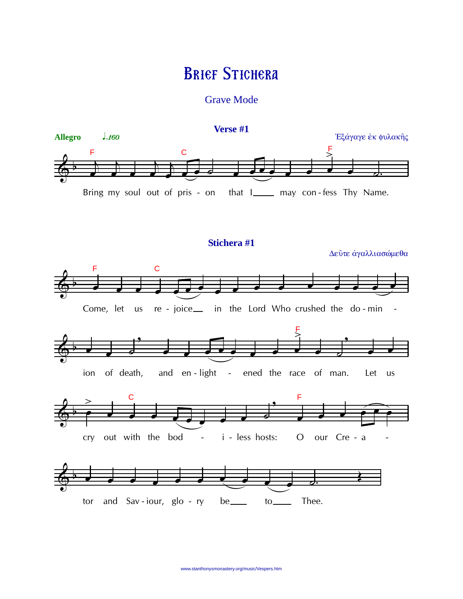# **BRIEF STICHERA**

**Grave Mode** 

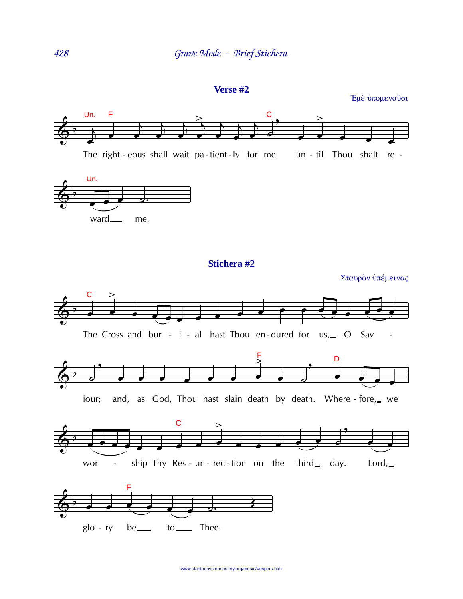Verse #2

Έμε ύπομενούσι



The Cross and bur -  $i$  - al hast Thou en-dured for us,  $\sim$  O Sav



and, as God, Thou hast slain death by death. Where - fore, we iour;



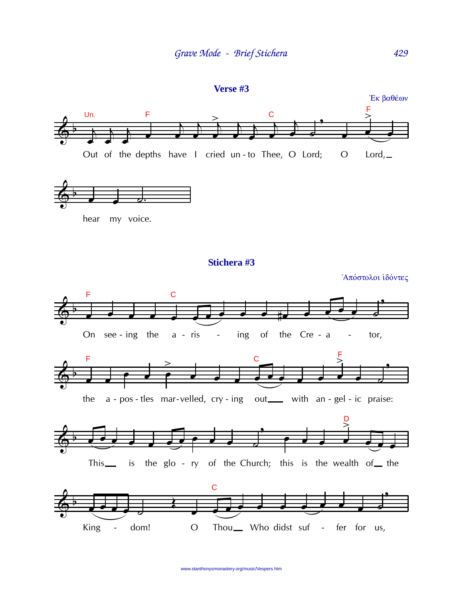

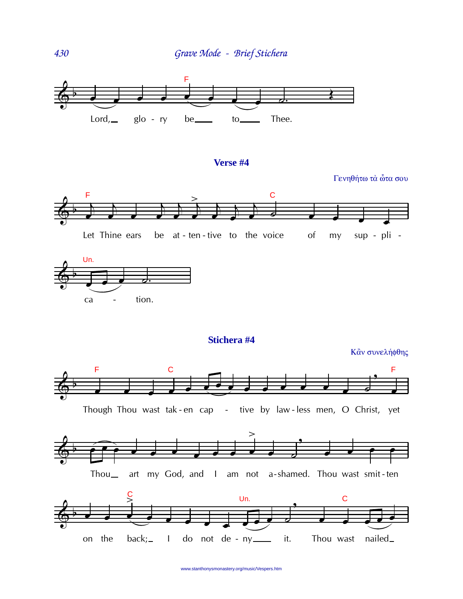

### **Verse #4**

Γενηθήτω τα ὦτα σου





**Stichera #4**

Κἂν συνελήφθης



Though Thou wast tak - en cap - tive by law - less men, O Christ, yet







430

www.stanthonysmonastery.org/music/Vespers.htm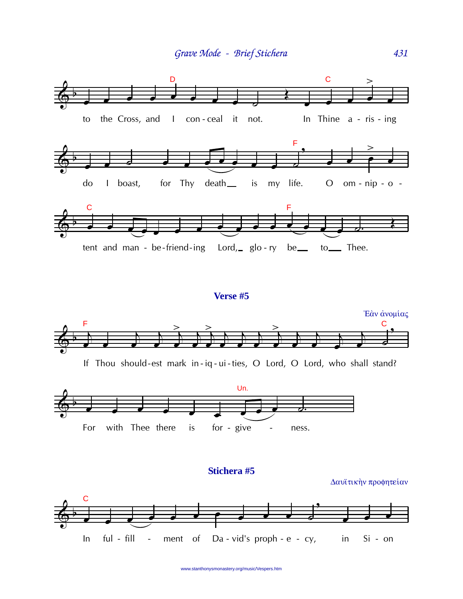

#### Verse #5





Stichera #5

Δαυϊτικήν προφητείαν



www.stanthonysmonastery.org/music/Vespers.htm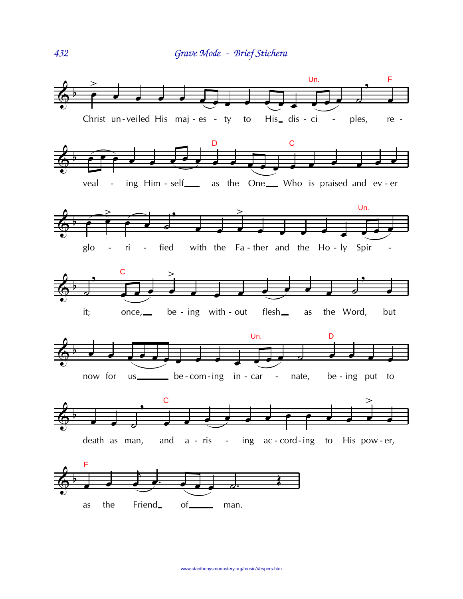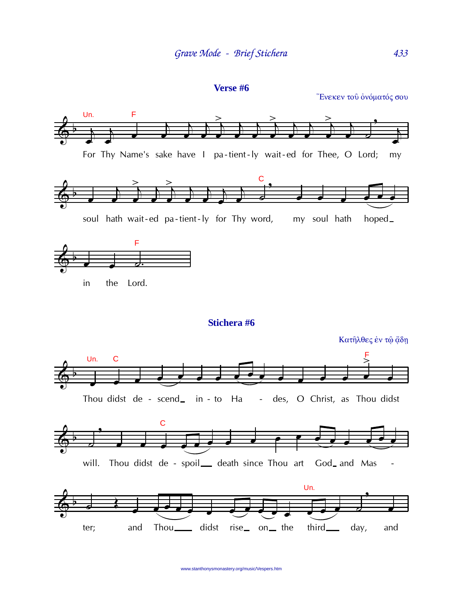```
Verse #6
```
Ένεκεν του όνόματός σου

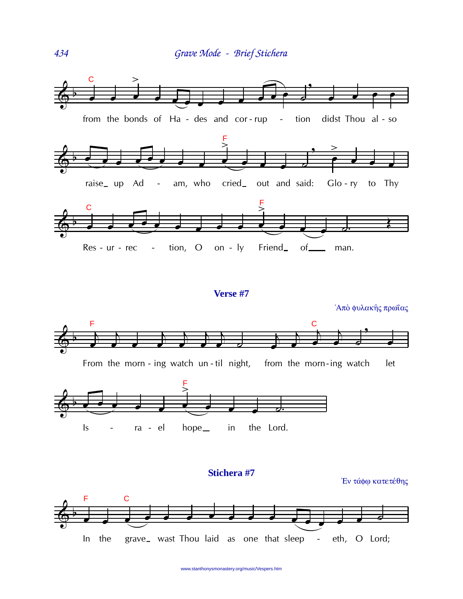

## Verse #7

F  $\mathbf C$ From the morn - ing watch un-til night, from the morn-ing watch let



#### Stichera #7

Έν τάφω κατετέθης

Άπὸ φυλακής πρωΐας



434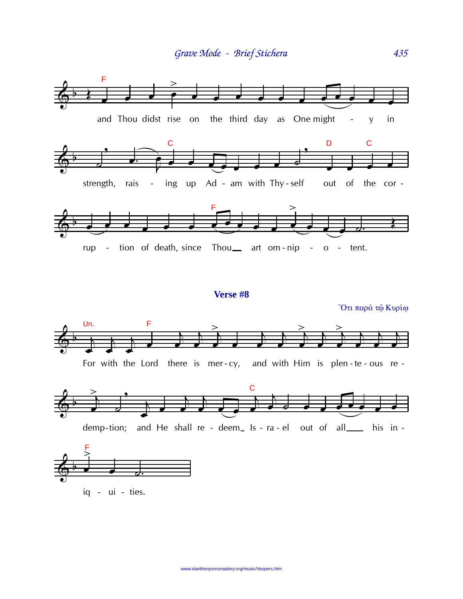

For with the Lord there is mer-cy, and with Him is plen-te-ous re-





www.stanthonysmonastery.org/music/Vespers.htm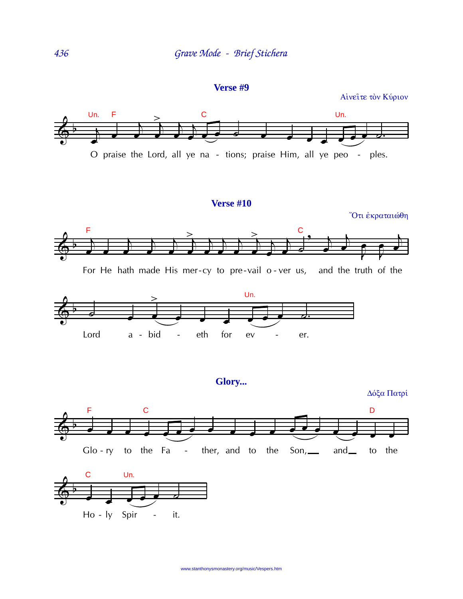Verse #9

Αίνειτε τον Κύριον



## **Verse #10**

Ότι έκραταιώθη





Glory...

Δόξα Πατρί



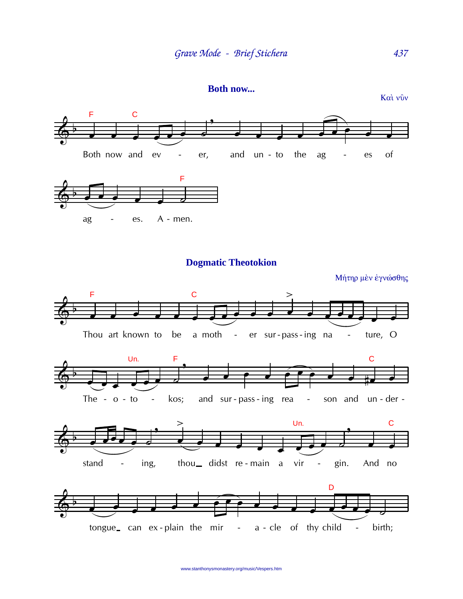